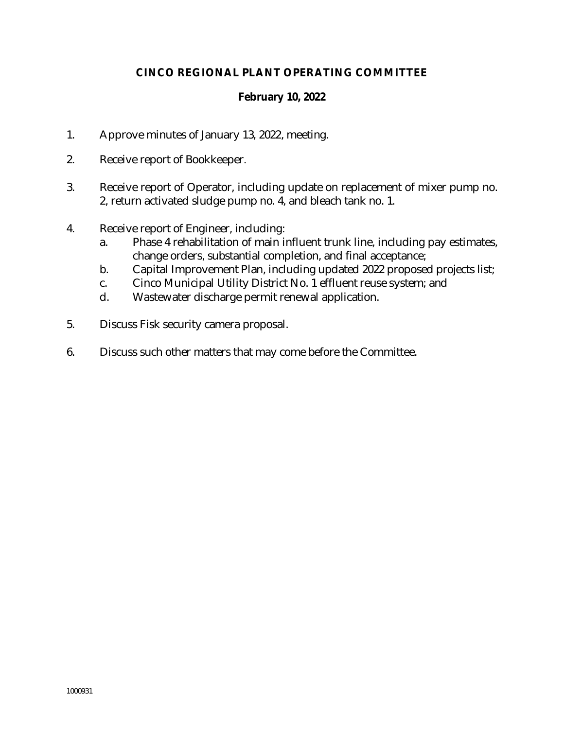# **CINCO REGIONAL PLANT OPERATING COMMITTEE**

## **February 10, 2022**

- 1. Approve minutes of January 13, 2022, meeting.
- 2. Receive report of Bookkeeper.
- 3. Receive report of Operator, including update on replacement of mixer pump no. 2, return activated sludge pump no. 4, and bleach tank no. 1.
- 4. Receive report of Engineer, including:
	- a. Phase 4 rehabilitation of main influent trunk line, including pay estimates, change orders, substantial completion, and final acceptance;
	- b. Capital Improvement Plan, including updated 2022 proposed projects list;
	- c. Cinco Municipal Utility District No. 1 effluent reuse system; and
	- d. Wastewater discharge permit renewal application.
- 5. Discuss Fisk security camera proposal.
- 6. Discuss such other matters that may come before the Committee.